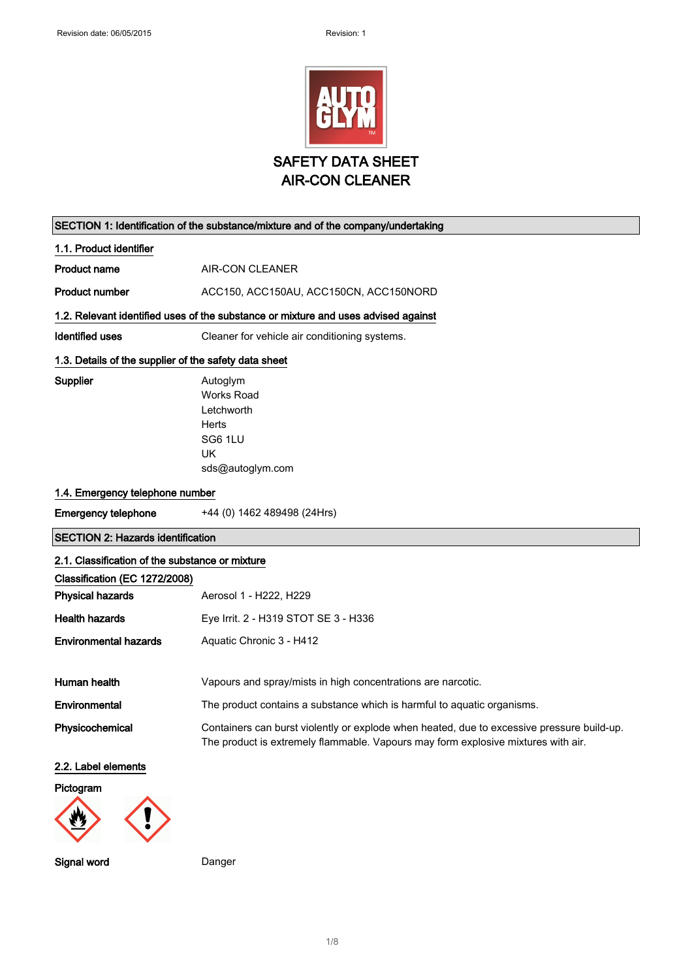

| SECTION 1: Identification of the substance/mixture and of the company/undertaking |                                                                                                                                                                                 |  |
|-----------------------------------------------------------------------------------|---------------------------------------------------------------------------------------------------------------------------------------------------------------------------------|--|
| 1.1. Product identifier                                                           |                                                                                                                                                                                 |  |
| <b>Product name</b>                                                               | <b>AIR-CON CLEANER</b>                                                                                                                                                          |  |
| <b>Product number</b>                                                             | ACC150, ACC150AU, ACC150CN, ACC150NORD                                                                                                                                          |  |
|                                                                                   | 1.2. Relevant identified uses of the substance or mixture and uses advised against                                                                                              |  |
| <b>Identified uses</b>                                                            | Cleaner for vehicle air conditioning systems.                                                                                                                                   |  |
| 1.3. Details of the supplier of the safety data sheet                             |                                                                                                                                                                                 |  |
| Supplier                                                                          | Autoglym<br><b>Works Road</b><br>Letchworth<br>Herts<br>SG6 1LU<br><b>UK</b><br>sds@autoglym.com                                                                                |  |
| 1.4. Emergency telephone number                                                   |                                                                                                                                                                                 |  |
| <b>Emergency telephone</b>                                                        | +44 (0) 1462 489498 (24Hrs)                                                                                                                                                     |  |
| <b>SECTION 2: Hazards identification</b>                                          |                                                                                                                                                                                 |  |
| 2.1. Classification of the substance or mixture                                   |                                                                                                                                                                                 |  |
| Classification (EC 1272/2008)<br><b>Physical hazards</b>                          | Aerosol 1 - H222, H229                                                                                                                                                          |  |
| <b>Health hazards</b>                                                             | Eye Irrit. 2 - H319 STOT SE 3 - H336                                                                                                                                            |  |
| <b>Environmental hazards</b>                                                      | Aquatic Chronic 3 - H412                                                                                                                                                        |  |
| Human health                                                                      | Vapours and spray/mists in high concentrations are narcotic.                                                                                                                    |  |
| Environmental                                                                     | The product contains a substance which is harmful to aquatic organisms.                                                                                                         |  |
| Physicochemical                                                                   | Containers can burst violently or explode when heated, due to excessive pressure build-up.<br>The product is extremely flammable. Vapours may form explosive mixtures with air. |  |
| 2.2. Label elements                                                               |                                                                                                                                                                                 |  |
| Pictogram                                                                         |                                                                                                                                                                                 |  |
|                                                                                   |                                                                                                                                                                                 |  |

Signal word Danger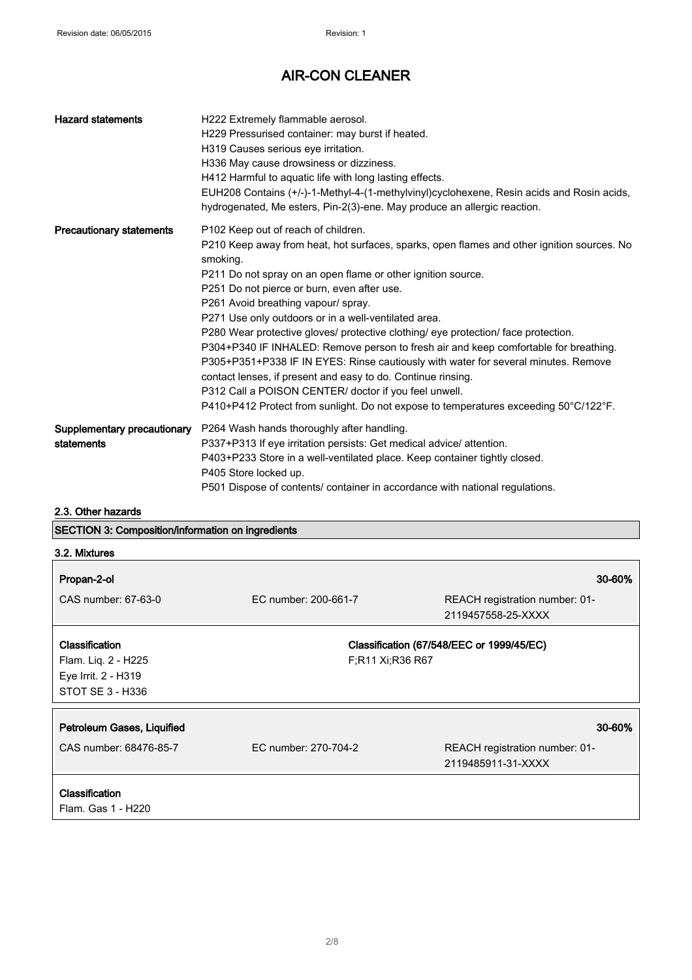| <b>Hazard statements</b>                  | H222 Extremely flammable aerosol.<br>H229 Pressurised container: may burst if heated.<br>H319 Causes serious eye irritation.<br>H336 May cause drowsiness or dizziness.<br>H412 Harmful to aquatic life with long lasting effects.<br>EUH208 Contains (+/-)-1-Methyl-4-(1-methylvinyl)cyclohexene, Resin acids and Rosin acids,<br>hydrogenated, Me esters, Pin-2(3)-ene. May produce an allergic reaction.                                                                                                                                                                                                                                                                                                                                                                                                                                      |
|-------------------------------------------|--------------------------------------------------------------------------------------------------------------------------------------------------------------------------------------------------------------------------------------------------------------------------------------------------------------------------------------------------------------------------------------------------------------------------------------------------------------------------------------------------------------------------------------------------------------------------------------------------------------------------------------------------------------------------------------------------------------------------------------------------------------------------------------------------------------------------------------------------|
| <b>Precautionary statements</b>           | P102 Keep out of reach of children.<br>P210 Keep away from heat, hot surfaces, sparks, open flames and other ignition sources. No<br>smoking.<br>P211 Do not spray on an open flame or other ignition source.<br>P251 Do not pierce or burn, even after use.<br>P261 Avoid breathing vapour/ spray.<br>P271 Use only outdoors or in a well-ventilated area.<br>P280 Wear protective gloves/ protective clothing/ eye protection/ face protection.<br>P304+P340 IF INHALED: Remove person to fresh air and keep comfortable for breathing.<br>P305+P351+P338 IF IN EYES: Rinse cautiously with water for several minutes. Remove<br>contact lenses, if present and easy to do. Continue rinsing.<br>P312 Call a POISON CENTER/ doctor if you feel unwell.<br>P410+P412 Protect from sunlight. Do not expose to temperatures exceeding 50°C/122°F. |
| Supplementary precautionary<br>statements | P264 Wash hands thoroughly after handling.<br>P337+P313 If eye irritation persists: Get medical advice/attention.<br>P403+P233 Store in a well-ventilated place. Keep container tightly closed.<br>P405 Store locked up.<br>P501 Dispose of contents/ container in accordance with national regulations.                                                                                                                                                                                                                                                                                                                                                                                                                                                                                                                                         |

2.3. Other hazards

### SECTION 3: Composition/information on ingredients

| 3.2. Mixtures                                                                    |                      |                                                                |
|----------------------------------------------------------------------------------|----------------------|----------------------------------------------------------------|
| Propan-2-ol                                                                      |                      | 30-60%                                                         |
| CAS number: 67-63-0                                                              | EC number: 200-661-7 | REACH registration number: 01-<br>2119457558-25-XXXX           |
| Classification<br>Flam. Liq. 2 - H225<br>Eye Irrit. 2 - H319<br>STOT SE 3 - H336 | F;R11 Xi;R36 R67     | Classification (67/548/EEC or 1999/45/EC)                      |
| Petroleum Gases, Liquified<br>CAS number: 68476-85-7                             | EC number: 270-704-2 | 30-60%<br>REACH registration number: 01-<br>2119485911-31-XXXX |
| <b>Classification</b><br>Flam. Gas 1 - H220                                      |                      |                                                                |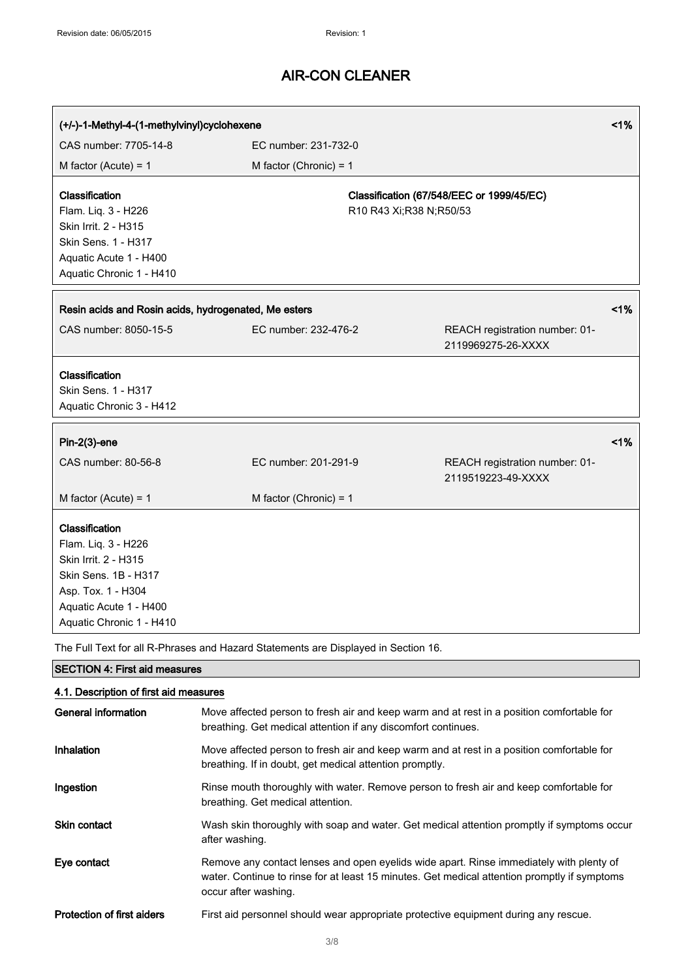| (+/-)-1-Methyl-4-(1-methylvinyl)cyclohexene                                                                                                                                                                                                             |                          |                           | 1%                                                   |       |
|---------------------------------------------------------------------------------------------------------------------------------------------------------------------------------------------------------------------------------------------------------|--------------------------|---------------------------|------------------------------------------------------|-------|
| CAS number: 7705-14-8<br>EC number: 231-732-0                                                                                                                                                                                                           |                          |                           |                                                      |       |
| M factor (Acute) = $1$                                                                                                                                                                                                                                  | M factor (Chronic) = $1$ |                           |                                                      |       |
| Classification<br>Flam. Liq. 3 - H226<br>Skin Irrit. 2 - H315<br>Skin Sens. 1 - H317<br>Aquatic Acute 1 - H400<br>Aquatic Chronic 1 - H410                                                                                                              |                          | R10 R43 Xi; R38 N; R50/53 | Classification (67/548/EEC or 1999/45/EC)            |       |
| Resin acids and Rosin acids, hydrogenated, Me esters                                                                                                                                                                                                    |                          |                           |                                                      | $1\%$ |
| CAS number: 8050-15-5                                                                                                                                                                                                                                   | EC number: 232-476-2     |                           | REACH registration number: 01-<br>2119969275-26-XXXX |       |
| Classification<br>Skin Sens. 1 - H317<br>Aquatic Chronic 3 - H412                                                                                                                                                                                       |                          |                           |                                                      |       |
| $Pin-2(3)$ -ene                                                                                                                                                                                                                                         |                          |                           |                                                      | 1%    |
| CAS number: 80-56-8                                                                                                                                                                                                                                     | EC number: 201-291-9     |                           | REACH registration number: 01-<br>2119519223-49-XXXX |       |
| M factor (Acute) = $1$                                                                                                                                                                                                                                  | M factor (Chronic) = $1$ |                           |                                                      |       |
| Classification<br>Flam. Liq. 3 - H226<br>Skin Irrit. 2 - H315<br>Skin Sens. 1B - H317<br>Asp. Tox. 1 - H304<br>Aquatic Acute 1 - H400<br>Aquatic Chronic 1 - H410<br>The Full Text for all R-Phrases and Hazard Statements are Displayed in Section 16. |                          |                           |                                                      |       |

SECTION 4: First aid measures

| 4.1. Description of first aid measures |                                                                                                                                                                                                                 |  |
|----------------------------------------|-----------------------------------------------------------------------------------------------------------------------------------------------------------------------------------------------------------------|--|
| General information                    | Move affected person to fresh air and keep warm and at rest in a position comfortable for<br>breathing. Get medical attention if any discomfort continues.                                                      |  |
| <b>Inhalation</b>                      | Move affected person to fresh air and keep warm and at rest in a position comfortable for<br>breathing. If in doubt, get medical attention promptly.                                                            |  |
| Ingestion                              | Rinse mouth thoroughly with water. Remove person to fresh air and keep comfortable for<br>breathing. Get medical attention.                                                                                     |  |
| <b>Skin contact</b>                    | Wash skin thoroughly with soap and water. Get medical attention promptly if symptoms occur<br>after washing.                                                                                                    |  |
| Eye contact                            | Remove any contact lenses and open eyelids wide apart. Rinse immediately with plenty of<br>water. Continue to rinse for at least 15 minutes. Get medical attention promptly if symptoms<br>occur after washing. |  |
| <b>Protection of first aiders</b>      | First aid personnel should wear appropriate protective equipment during any rescue.                                                                                                                             |  |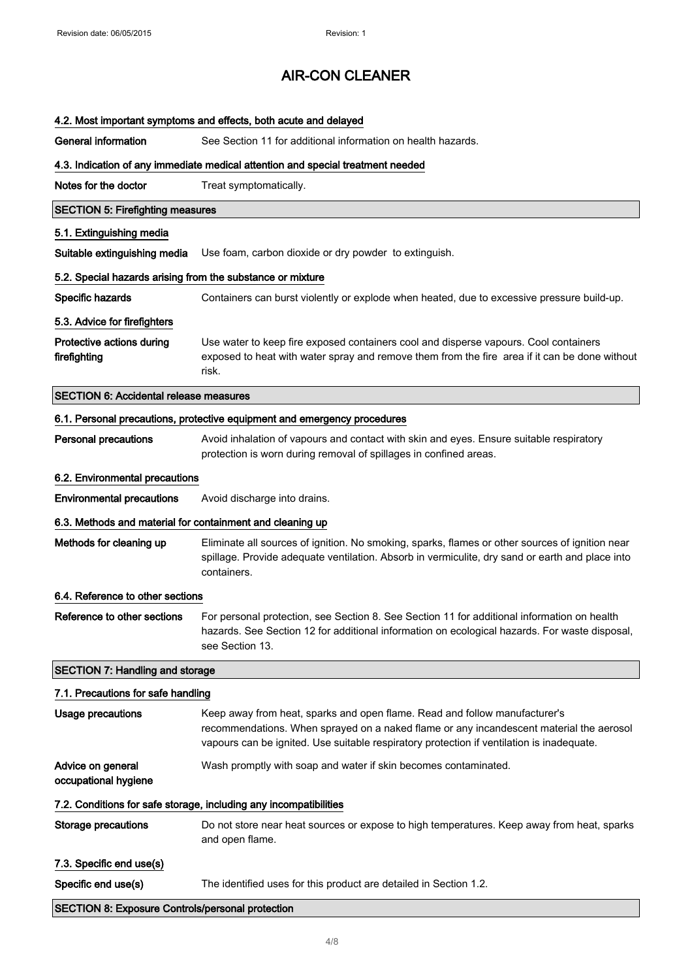| 4.2. Most important symptoms and effects, both acute and delayed                |                                                                                                                                                                                                                                                                    |  |  |
|---------------------------------------------------------------------------------|--------------------------------------------------------------------------------------------------------------------------------------------------------------------------------------------------------------------------------------------------------------------|--|--|
| <b>General information</b>                                                      | See Section 11 for additional information on health hazards.                                                                                                                                                                                                       |  |  |
| 4.3. Indication of any immediate medical attention and special treatment needed |                                                                                                                                                                                                                                                                    |  |  |
| Notes for the doctor                                                            | Treat symptomatically.                                                                                                                                                                                                                                             |  |  |
| <b>SECTION 5: Firefighting measures</b>                                         |                                                                                                                                                                                                                                                                    |  |  |
| 5.1. Extinguishing media                                                        |                                                                                                                                                                                                                                                                    |  |  |
| Suitable extinguishing media                                                    | Use foam, carbon dioxide or dry powder to extinguish.                                                                                                                                                                                                              |  |  |
| 5.2. Special hazards arising from the substance or mixture                      |                                                                                                                                                                                                                                                                    |  |  |
| Specific hazards                                                                | Containers can burst violently or explode when heated, due to excessive pressure build-up.                                                                                                                                                                         |  |  |
| 5.3. Advice for firefighters                                                    |                                                                                                                                                                                                                                                                    |  |  |
| Protective actions during<br>firefighting                                       | Use water to keep fire exposed containers cool and disperse vapours. Cool containers<br>exposed to heat with water spray and remove them from the fire area if it can be done without<br>risk.                                                                     |  |  |
| <b>SECTION 6: Accidental release measures</b>                                   |                                                                                                                                                                                                                                                                    |  |  |
|                                                                                 | 6.1. Personal precautions, protective equipment and emergency procedures                                                                                                                                                                                           |  |  |
| <b>Personal precautions</b>                                                     | Avoid inhalation of vapours and contact with skin and eyes. Ensure suitable respiratory<br>protection is worn during removal of spillages in confined areas.                                                                                                       |  |  |
| 6.2. Environmental precautions                                                  |                                                                                                                                                                                                                                                                    |  |  |
| <b>Environmental precautions</b>                                                | Avoid discharge into drains.                                                                                                                                                                                                                                       |  |  |
| 6.3. Methods and material for containment and cleaning up                       |                                                                                                                                                                                                                                                                    |  |  |
| Methods for cleaning up                                                         | Eliminate all sources of ignition. No smoking, sparks, flames or other sources of ignition near<br>spillage. Provide adequate ventilation. Absorb in vermiculite, dry sand or earth and place into<br>containers.                                                  |  |  |
| 6.4. Reference to other sections                                                |                                                                                                                                                                                                                                                                    |  |  |
| Reference to other sections                                                     | For personal protection, see Section 8. See Section 11 for additional information on health<br>hazards. See Section 12 for additional information on ecological hazards. For waste disposal,<br>see Section 13.                                                    |  |  |
| <b>SECTION 7: Handling and storage</b>                                          |                                                                                                                                                                                                                                                                    |  |  |
| 7.1. Precautions for safe handling                                              |                                                                                                                                                                                                                                                                    |  |  |
| <b>Usage precautions</b>                                                        | Keep away from heat, sparks and open flame. Read and follow manufacturer's<br>recommendations. When sprayed on a naked flame or any incandescent material the aerosol<br>vapours can be ignited. Use suitable respiratory protection if ventilation is inadequate. |  |  |
| Advice on general<br>occupational hygiene                                       | Wash promptly with soap and water if skin becomes contaminated.                                                                                                                                                                                                    |  |  |
|                                                                                 | 7.2. Conditions for safe storage, including any incompatibilities                                                                                                                                                                                                  |  |  |
| <b>Storage precautions</b>                                                      | Do not store near heat sources or expose to high temperatures. Keep away from heat, sparks<br>and open flame.                                                                                                                                                      |  |  |
| 7.3. Specific end use(s)                                                        |                                                                                                                                                                                                                                                                    |  |  |
| Specific end use(s)                                                             | The identified uses for this product are detailed in Section 1.2.                                                                                                                                                                                                  |  |  |
|                                                                                 | <b>SECTION 8: Exposure Controls/personal protection</b>                                                                                                                                                                                                            |  |  |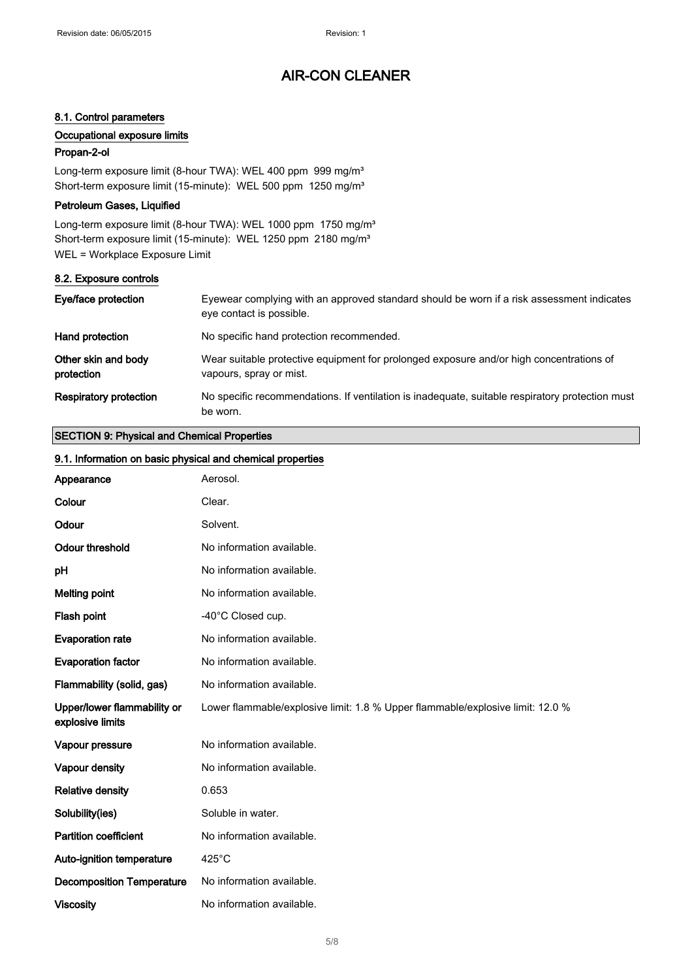### 8.1. Control parameters

### Occupational exposure limits

#### Propan-2-ol

Long-term exposure limit (8-hour TWA): WEL 400 ppm 999 mg/m<sup>3</sup> Short-term exposure limit (15-minute): WEL 500 ppm 1250 mg/m<sup>3</sup>

### Petroleum Gases, Liquified

Long-term exposure limit (8-hour TWA): WEL 1000 ppm 1750 mg/m<sup>3</sup> Short-term exposure limit (15-minute): WEL 1250 ppm 2180 mg/m<sup>3</sup> WEL = Workplace Exposure Limit

#### 8.2. Exposure controls

| Eye/face protection               | Eyewear complying with an approved standard should be worn if a risk assessment indicates<br>eye contact is possible. |
|-----------------------------------|-----------------------------------------------------------------------------------------------------------------------|
| Hand protection                   | No specific hand protection recommended.                                                                              |
| Other skin and body<br>protection | Wear suitable protective equipment for prolonged exposure and/or high concentrations of<br>vapours, spray or mist.    |
| <b>Respiratory protection</b>     | No specific recommendations. If ventilation is inadequate, suitable respiratory protection must<br>be worn.           |

### SECTION 9: Physical and Chemical Properties

| 9.1. Information on basic physical and chemical properties |                                                                                |
|------------------------------------------------------------|--------------------------------------------------------------------------------|
| Appearance                                                 | Aerosol.                                                                       |
| Colour                                                     | Clear.                                                                         |
| Odour                                                      | Solvent.                                                                       |
| <b>Odour threshold</b>                                     | No information available.                                                      |
| рH                                                         | No information available.                                                      |
| <b>Melting point</b>                                       | No information available.                                                      |
| Flash point                                                | -40°C Closed cup.                                                              |
| <b>Evaporation rate</b>                                    | No information available.                                                      |
| <b>Evaporation factor</b>                                  | No information available.                                                      |
| Flammability (solid, gas)                                  | No information available.                                                      |
| Upper/lower flammability or<br>explosive limits            | Lower flammable/explosive limit: 1.8 % Upper flammable/explosive limit: 12.0 % |
| Vapour pressure                                            | No information available.                                                      |
| Vapour density                                             | No information available.                                                      |
| <b>Relative density</b>                                    | 0.653                                                                          |
| Solubility(ies)                                            | Soluble in water.                                                              |
| <b>Partition coefficient</b>                               | No information available.                                                      |
| Auto-ignition temperature                                  | $425^{\circ}$ C                                                                |
| <b>Decomposition Temperature</b>                           | No information available.                                                      |
| <b>Viscosity</b>                                           | No information available.                                                      |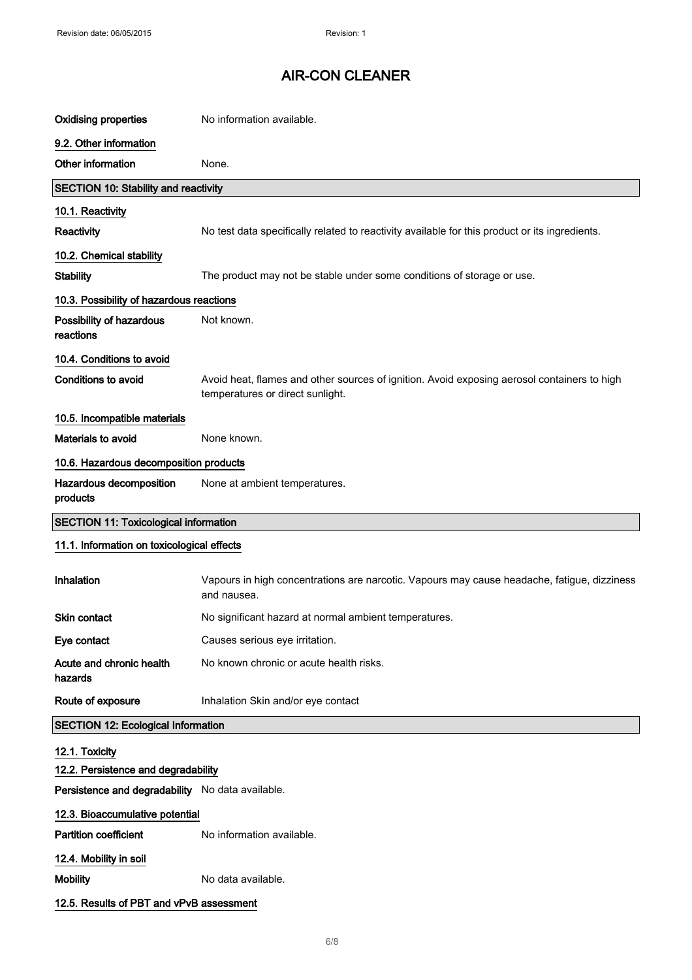| <b>Oxidising properties</b>                                                             | No information available.                                                                                                       |
|-----------------------------------------------------------------------------------------|---------------------------------------------------------------------------------------------------------------------------------|
| 9.2. Other information                                                                  |                                                                                                                                 |
| Other information                                                                       | None.                                                                                                                           |
| SECTION 10: Stability and reactivity                                                    |                                                                                                                                 |
| 10.1. Reactivity                                                                        |                                                                                                                                 |
| Reactivity                                                                              | No test data specifically related to reactivity available for this product or its ingredients.                                  |
| 10.2. Chemical stability                                                                |                                                                                                                                 |
| <b>Stability</b>                                                                        | The product may not be stable under some conditions of storage or use.                                                          |
| 10.3. Possibility of hazardous reactions                                                |                                                                                                                                 |
| Possibility of hazardous<br>reactions                                                   | Not known.                                                                                                                      |
| 10.4. Conditions to avoid                                                               |                                                                                                                                 |
| Conditions to avoid                                                                     | Avoid heat, flames and other sources of ignition. Avoid exposing aerosol containers to high<br>temperatures or direct sunlight. |
| 10.5. Incompatible materials                                                            |                                                                                                                                 |
| Materials to avoid                                                                      | None known.                                                                                                                     |
| 10.6. Hazardous decomposition products                                                  |                                                                                                                                 |
| Hazardous decomposition<br>products                                                     | None at ambient temperatures.                                                                                                   |
|                                                                                         |                                                                                                                                 |
| <b>SECTION 11: Toxicological information</b>                                            |                                                                                                                                 |
| 11.1. Information on toxicological effects                                              |                                                                                                                                 |
| Inhalation                                                                              | Vapours in high concentrations are narcotic. Vapours may cause headache, fatigue, dizziness<br>and nausea.                      |
| <b>Skin contact</b>                                                                     | No significant hazard at normal ambient temperatures.                                                                           |
| Eye contact                                                                             | Causes serious eye irritation.                                                                                                  |
| Acute and chronic health<br>hazards                                                     | No known chronic or acute health risks.                                                                                         |
| Route of exposure                                                                       | Inhalation Skin and/or eye contact                                                                                              |
| <b>SECTION 12: Ecological Information</b>                                               |                                                                                                                                 |
| 12.1. Toxicity                                                                          |                                                                                                                                 |
| 12.2. Persistence and degradability<br>Persistence and degradability No data available. |                                                                                                                                 |
|                                                                                         |                                                                                                                                 |
| 12.3. Bioaccumulative potential<br><b>Partition coefficient</b>                         | No information available.                                                                                                       |
| 12.4. Mobility in soil                                                                  |                                                                                                                                 |
| <b>Mobility</b>                                                                         | No data available.                                                                                                              |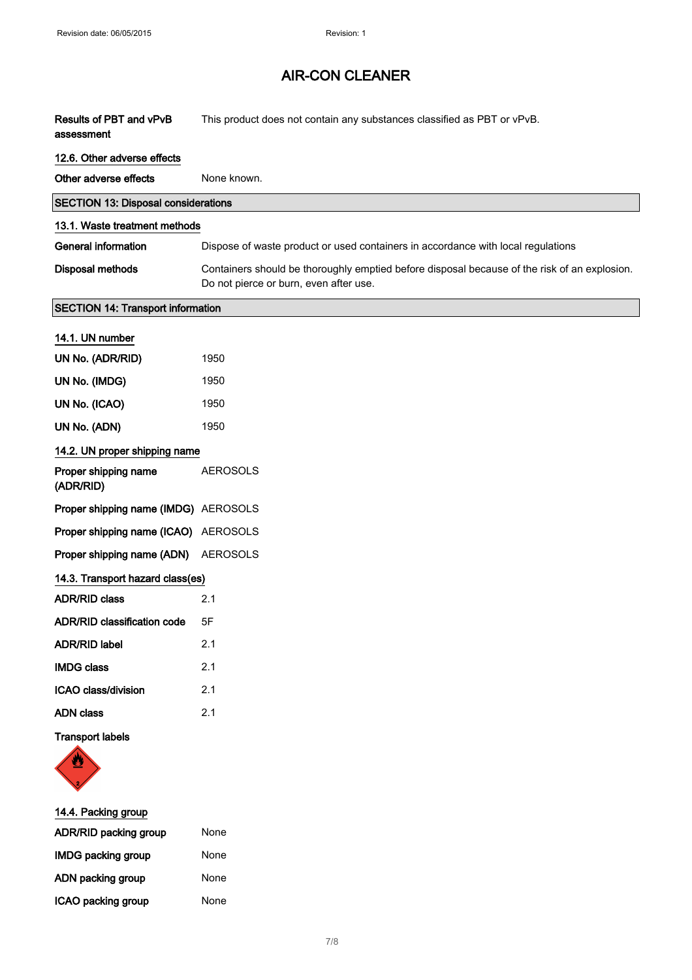| Results of PBT and vPvB<br>assessment      | This product does not contain any substances classified as PBT or vPvB.                                                                |
|--------------------------------------------|----------------------------------------------------------------------------------------------------------------------------------------|
| 12.6. Other adverse effects                |                                                                                                                                        |
| Other adverse effects                      | None known.                                                                                                                            |
| <b>SECTION 13: Disposal considerations</b> |                                                                                                                                        |
| 13.1. Waste treatment methods              |                                                                                                                                        |
| <b>General information</b>                 | Dispose of waste product or used containers in accordance with local regulations                                                       |
| <b>Disposal methods</b>                    | Containers should be thoroughly emptied before disposal because of the risk of an explosion.<br>Do not pierce or burn, even after use. |
| <b>SECTION 14: Transport information</b>   |                                                                                                                                        |
| 14.1. UN number                            |                                                                                                                                        |
| UN No. (ADR/RID)                           | 1950                                                                                                                                   |
| UN No. (IMDG)                              | 1950                                                                                                                                   |
| UN No. (ICAO)                              | 1950                                                                                                                                   |
| UN No. (ADN)                               | 1950                                                                                                                                   |
| 14.2. UN proper shipping name              |                                                                                                                                        |
| Proper shipping name<br>(ADR/RID)          | <b>AEROSOLS</b>                                                                                                                        |
| Proper shipping name (IMDG) AEROSOLS       |                                                                                                                                        |
| Proper shipping name (ICAO) AEROSOLS       |                                                                                                                                        |
| Proper shipping name (ADN)                 | <b>AEROSOLS</b>                                                                                                                        |
| 14.3. Transport hazard class(es)           |                                                                                                                                        |
| <b>ADR/RID class</b>                       | 2.1                                                                                                                                    |
| <b>ADR/RID classification code</b>         | 5F                                                                                                                                     |
| <b>ADR/RID label</b>                       | 2.1                                                                                                                                    |
| <b>IMDG class</b>                          | 2.1                                                                                                                                    |
| ICAO class/division                        | 2.1                                                                                                                                    |
| <b>ADN</b> class                           | 2.1                                                                                                                                    |
| <b>Transport labels</b>                    |                                                                                                                                        |
| 14.4. Packing group                        |                                                                                                                                        |
| ADR/RID packing group                      | None                                                                                                                                   |

| <b>IMDG packing group</b> | None |
|---------------------------|------|
| ADN packing group         | None |
| ICAO packing group        | None |